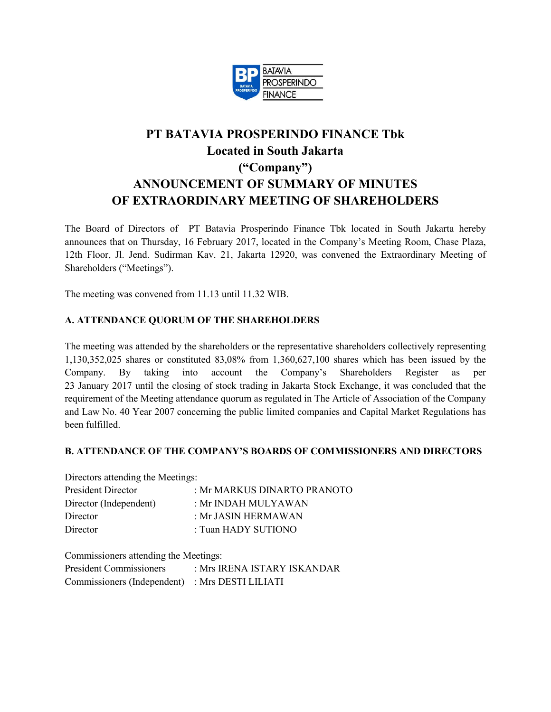

# **PT BATAVIA PROSPERINDO FINANCE Tbk Located in South Jakarta ("Company") ANNOUNCEMENT OF SUMMARY OF MINUTES**

# **OF EXTRAORDINARY MEETING OF SHAREHOLDERS**

The Board of Directors of PT Batavia Prosperindo Finance Tbk located in South Jakarta hereby announces that on Thursday, 16 February 2017, located in the Company's Meeting Room, Chase Plaza, 12th Floor, Jl. Jend. Sudirman Kav. 21, Jakarta 12920, was convened the Extraordinary Meeting of Shareholders ("Meetings").

The meeting was convened from 11.13 until 11.32 WIB.

# **A. ATTENDANCE QUORUM OF THE SHAREHOLDERS**

The meeting was attended by the shareholders or the representative shareholders collectively representing 1,130,352,025 shares or constituted 83,08% from 1,360,627,100 shares which has been issued by the Company. By taking into account the Company's Shareholders Register as per 23 January 2017 until the closing of stock trading in Jakarta Stock Exchange, it was concluded that the requirement of the Meeting attendance quorum as regulated in The Article of Association of the Company and Law No. 40 Year 2007 concerning the public limited companies and Capital Market Regulations has been fulfilled.

### **B. ATTENDANCE OF THE COMPANY'S BOARDS OF COMMISSIONERS AND DIRECTORS**

Directors attending the Meetings:

| : Mr MARKUS DINARTO PRANOTO |
|-----------------------------|
| : Mr INDAH MULYAWAN         |
| : Mr JASIN HERMAWAN         |
| : Tuan HADY SUTIONO         |
|                             |

Commissioners attending the Meetings:

| <b>President Commissioners</b>                  | : Mrs IRENA ISTARY ISKANDAR |
|-------------------------------------------------|-----------------------------|
| Commissioners (Independent) : Mrs DESTI LILIATI |                             |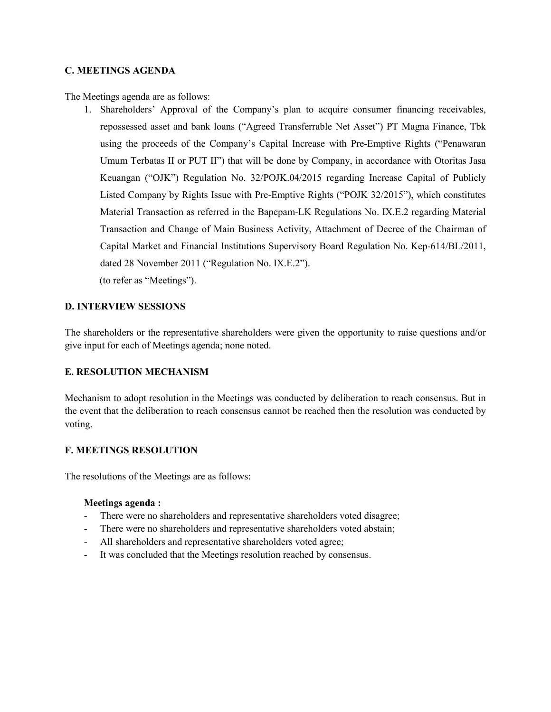### **C. MEETINGS AGENDA**

The Meetings agenda are as follows:

1. Shareholders' Approval of the Company's plan to acquire consumer financing receivables, repossessed asset and bank loans ("Agreed Transferrable Net Asset") PT Magna Finance, Tbk using the proceeds of the Company's Capital Increase with Pre-Emptive Rights ("Penawaran Umum Terbatas II or PUT II") that will be done by Company, in accordance with Otoritas Jasa Keuangan ("OJK") Regulation No. 32/POJK.04/2015 regarding Increase Capital of Publicly Listed Company by Rights Issue with Pre-Emptive Rights ("POJK 32/2015"), which constitutes Material Transaction as referred in the Bapepam-LK Regulations No. IX.E.2 regarding Material Transaction and Change of Main Business Activity, Attachment of Decree of the Chairman of Capital Market and Financial Institutions Supervisory Board Regulation No. Kep-614/BL/2011, dated 28 November 2011 ("Regulation No. IX.E.2").

(to refer as "Meetings").

### **D. INTERVIEW SESSIONS**

The shareholders or the representative shareholders were given the opportunity to raise questions and/or give input for each of Meetings agenda; none noted.

## **E. RESOLUTION MECHANISM**

Mechanism to adopt resolution in the Meetings was conducted by deliberation to reach consensus. But in the event that the deliberation to reach consensus cannot be reached then the resolution was conducted by voting.

#### **F. MEETINGS RESOLUTION**

The resolutions of the Meetings are as follows:

#### **Meetings agenda :**

- There were no shareholders and representative shareholders voted disagree;
- There were no shareholders and representative shareholders voted abstain;
- All shareholders and representative shareholders voted agree;
- It was concluded that the Meetings resolution reached by consensus.